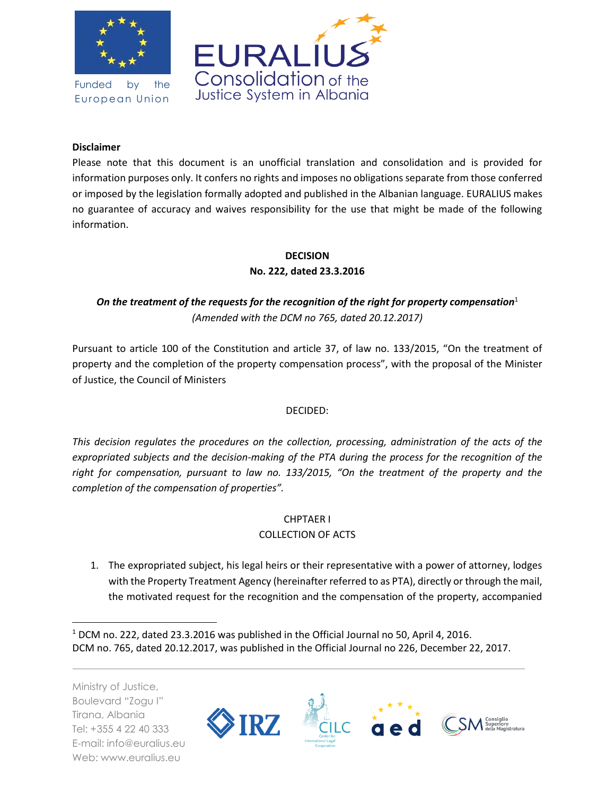

Funded by the European Union



#### **Disclaimer**

Please note that this document is an unofficial translation and consolidation and is provided for information purposes only. It confers no rights and imposes no obligations separate from those conferred or imposed by the legislation formally adopted and published in the Albanian language. EURALIUS makes no guarantee of accuracy and waives responsibility for the use that might be made of the following information.

### **DECISION**

#### **No. 222, dated 23.3.2016**

# *On the treatment of the requests for the recognition of the right for property compensation*<sup>1</sup> *(Amended with the DCM no 765, dated 20.12.2017)*

Pursuant to article 100 of the Constitution and article 37, of law no. 133/2015, "On the treatment of property and the completion of the property compensation process", with the proposal of the Minister of Justice, the Council of Ministers

### DECIDED:

*This decision regulates the procedures on the collection, processing, administration of the acts of the expropriated subjects and the decision-making of the PTA during the process for the recognition of the right for compensation, pursuant to law no. 133/2015, "On the treatment of the property and the completion of the compensation of properties".* 

### CHPTAER I

### COLLECTION OF ACTS

1. The expropriated subject, his legal heirs or their representative with a power of attorney, lodges with the Property Treatment Agency (hereinafter referred to as PTA), directly or through the mail, the motivated request for the recognition and the compensation of the property, accompanied

<sup>1</sup> DCM no. 222, dated 23.3.2016 was published in the Official Journal no 50, April 4, 2016. DCM no. 765, dated 20.12.2017, was published in the Official Journal no 226, December 22, 2017.

Ministry of Justice, Boulevard "Zogu I" Tirana, Albania Tel: +355 4 22 40 333 E-mail: info@euralius.eu Web: www.euralius.eu

 $\overline{a}$ 

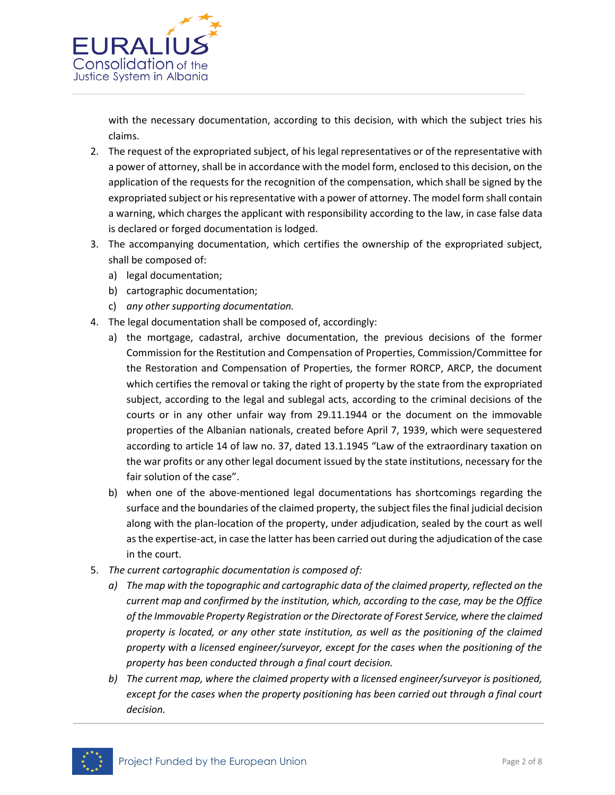

with the necessary documentation, according to this decision, with which the subject tries his claims.

- 2. The request of the expropriated subject, of his legal representatives or of the representative with a power of attorney, shall be in accordance with the model form, enclosed to this decision, on the application of the requests for the recognition of the compensation, which shall be signed by the expropriated subject or his representative with a power of attorney. The model form shall contain a warning, which charges the applicant with responsibility according to the law, in case false data is declared or forged documentation is lodged.
- 3. The accompanying documentation, which certifies the ownership of the expropriated subject, shall be composed of:
	- a) legal documentation;
	- b) cartographic documentation;
	- c) *any other supporting documentation.*
- 4. The legal documentation shall be composed of, accordingly:
	- a) the mortgage, cadastral, archive documentation, the previous decisions of the former Commission for the Restitution and Compensation of Properties, Commission/Committee for the Restoration and Compensation of Properties, the former RORCP, ARCP, the document which certifies the removal or taking the right of property by the state from the expropriated subject, according to the legal and sublegal acts, according to the criminal decisions of the courts or in any other unfair way from 29.11.1944 or the document on the immovable properties of the Albanian nationals, created before April 7, 1939, which were sequestered according to article 14 of law no. 37, dated 13.1.1945 "Law of the extraordinary taxation on the war profits or any other legal document issued by the state institutions, necessary for the fair solution of the case".
	- b) when one of the above-mentioned legal documentations has shortcomings regarding the surface and the boundaries of the claimed property, the subject files the final judicial decision along with the plan-location of the property, under adjudication, sealed by the court as well as the expertise-act, in case the latter has been carried out during the adjudication of the case in the court.
- 5. *The current cartographic documentation is composed of:* 
	- *a) The map with the topographic and cartographic data of the claimed property, reflected on the current map and confirmed by the institution, which, according to the case, may be the Office of the Immovable Property Registration or the Directorate of Forest Service, where the claimed property is located, or any other state institution, as well as the positioning of the claimed property with a licensed engineer/surveyor, except for the cases when the positioning of the property has been conducted through a final court decision.*
	- *b) The current map, where the claimed property with a licensed engineer/surveyor is positioned, except for the cases when the property positioning has been carried out through a final court decision.*

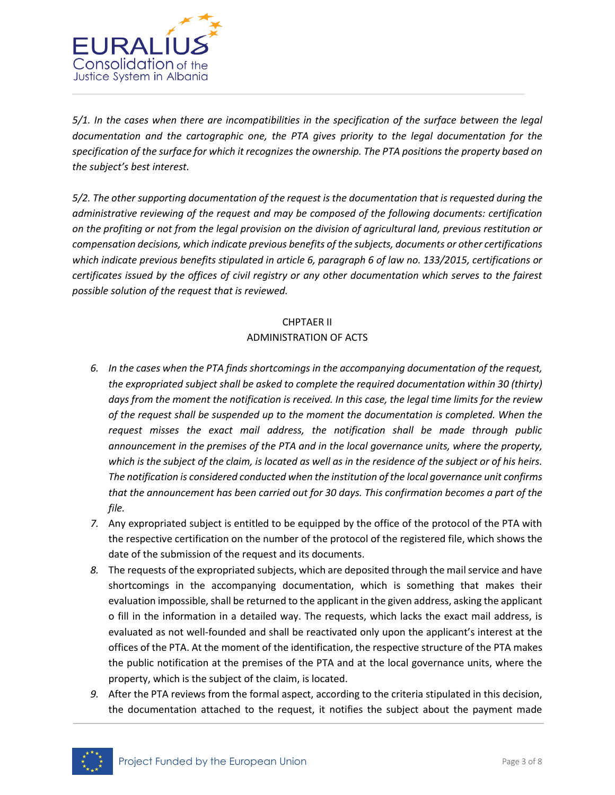

*5/1. In the cases when there are incompatibilities in the specification of the surface between the legal documentation and the cartographic one, the PTA gives priority to the legal documentation for the specification of the surface for which it recognizes the ownership. The PTA positions the property based on the subject's best interest.* 

*5/2. The other supporting documentation of the request is the documentation that is requested during the administrative reviewing of the request and may be composed of the following documents: certification on the profiting or not from the legal provision on the division of agricultural land, previous restitution or compensation decisions, which indicate previous benefits of the subjects, documents or other certifications which indicate previous benefits stipulated in article 6, paragraph 6 of law no. 133/2015, certifications or certificates issued by the offices of civil registry or any other documentation which serves to the fairest possible solution of the request that is reviewed.* 

## CHPTAER II ADMINISTRATION OF ACTS

- *6. In the cases when the PTA finds shortcomings in the accompanying documentation of the request, the expropriated subject shall be asked to complete the required documentation within 30 (thirty) days from the moment the notification is received. In this case, the legal time limits for the review of the request shall be suspended up to the moment the documentation is completed. When the request misses the exact mail address, the notification shall be made through public announcement in the premises of the PTA and in the local governance units, where the property, which is the subject of the claim, is located as well as in the residence of the subject or of his heirs. The notification is considered conducted when the institution of the local governance unit confirms that the announcement has been carried out for 30 days. This confirmation becomes a part of the file.*
- *7.* Any expropriated subject is entitled to be equipped by the office of the protocol of the PTA with the respective certification on the number of the protocol of the registered file, which shows the date of the submission of the request and its documents.
- *8.* The requests of the expropriated subjects, which are deposited through the mail service and have shortcomings in the accompanying documentation, which is something that makes their evaluation impossible, shall be returned to the applicant in the given address, asking the applicant o fill in the information in a detailed way. The requests, which lacks the exact mail address, is evaluated as not well-founded and shall be reactivated only upon the applicant's interest at the offices of the PTA. At the moment of the identification, the respective structure of the PTA makes the public notification at the premises of the PTA and at the local governance units, where the property, which is the subject of the claim, is located.
- *9.* After the PTA reviews from the formal aspect, according to the criteria stipulated in this decision, the documentation attached to the request, it notifies the subject about the payment made

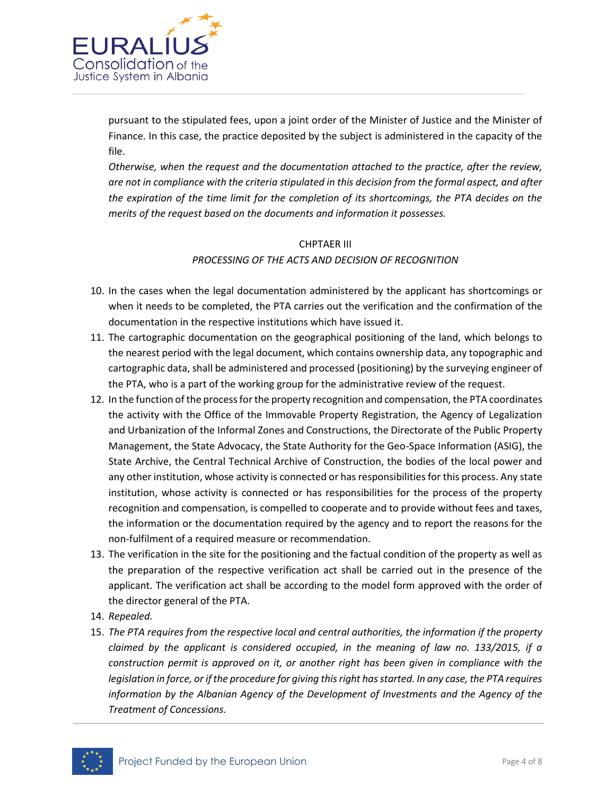

pursuant to the stipulated fees, upon a joint order of the Minister of Justice and the Minister of Finance. In this case, the practice deposited by the subject is administered in the capacity of the file.

*Otherwise, when the request and the documentation attached to the practice, after the review, are not in compliance with the criteria stipulated in this decision from the formal aspect, and after the expiration of the time limit for the completion of its shortcomings, the PTA decides on the merits of the request based on the documents and information it possesses.* 

#### CHPTAER III

### *PROCESSING OF THE ACTS AND DECISION OF RECOGNITION*

- 10. In the cases when the legal documentation administered by the applicant has shortcomings or when it needs to be completed, the PTA carries out the verification and the confirmation of the documentation in the respective institutions which have issued it.
- 11. The cartographic documentation on the geographical positioning of the land, which belongs to the nearest period with the legal document, which contains ownership data, any topographic and cartographic data, shall be administered and processed (positioning) by the surveying engineer of the PTA, who is a part of the working group for the administrative review of the request.
- 12. In the function of the process for the property recognition and compensation, the PTA coordinates the activity with the Office of the Immovable Property Registration, the Agency of Legalization and Urbanization of the Informal Zones and Constructions, the Directorate of the Public Property Management, the State Advocacy, the State Authority for the Geo-Space Information (ASIG), the State Archive, the Central Technical Archive of Construction, the bodies of the local power and any other institution, whose activity is connected or has responsibilities for this process. Any state institution, whose activity is connected or has responsibilities for the process of the property recognition and compensation, is compelled to cooperate and to provide without fees and taxes, the information or the documentation required by the agency and to report the reasons for the non-fulfilment of a required measure or recommendation.
- 13. The verification in the site for the positioning and the factual condition of the property as well as the preparation of the respective verification act shall be carried out in the presence of the applicant. The verification act shall be according to the model form approved with the order of the director general of the PTA.
- 14. *Repealed.*
- 15. *The PTA requires from the respective local and central authorities, the information if the property claimed by the applicant is considered occupied, in the meaning of law no. 133/2015, if a construction permit is approved on it, or another right has been given in compliance with the legislation in force, or ifthe procedure for giving this right has started. In any case, the PTA requires information by the Albanian Agency of the Development of Investments and the Agency of the Treatment of Concessions.*

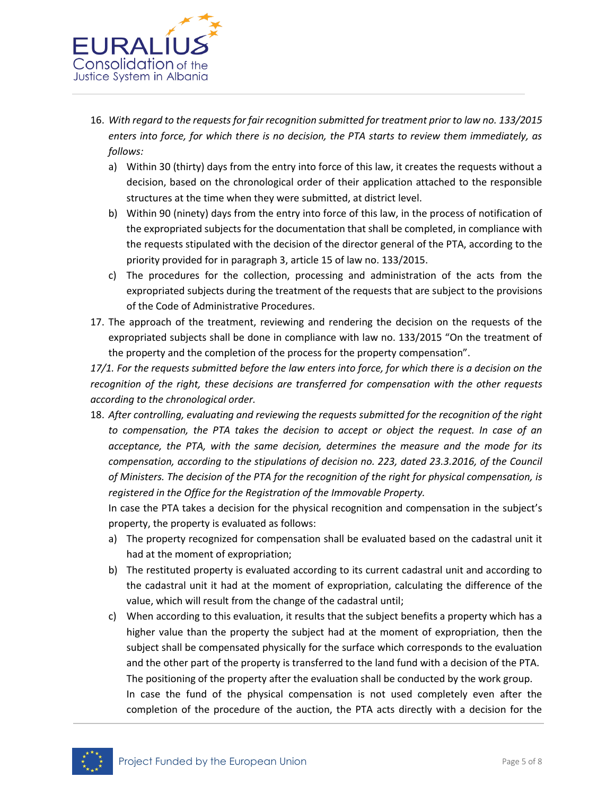

- 16. *With regard to the requests for fair recognition submitted for treatment prior to law no. 133/2015 enters into force, for which there is no decision, the PTA starts to review them immediately, as follows:* 
	- a) Within 30 (thirty) days from the entry into force of this law, it creates the requests without a decision, based on the chronological order of their application attached to the responsible structures at the time when they were submitted, at district level.
	- b) Within 90 (ninety) days from the entry into force of this law, in the process of notification of the expropriated subjects for the documentation that shall be completed, in compliance with the requests stipulated with the decision of the director general of the PTA, according to the priority provided for in paragraph 3, article 15 of law no. 133/2015.
	- c) The procedures for the collection, processing and administration of the acts from the expropriated subjects during the treatment of the requests that are subject to the provisions of the Code of Administrative Procedures.
- 17. The approach of the treatment, reviewing and rendering the decision on the requests of the expropriated subjects shall be done in compliance with law no. 133/2015 "On the treatment of the property and the completion of the process for the property compensation".

*17/1. For the requests submitted before the law enters into force, for which there is a decision on the recognition of the right, these decisions are transferred for compensation with the other requests according to the chronological order.* 

18. *After controlling, evaluating and reviewing the requests submitted for the recognition of the right to compensation, the PTA takes the decision to accept or object the request. In case of an acceptance, the PTA, with the same decision, determines the measure and the mode for its compensation, according to the stipulations of decision no. 223, dated 23.3.2016, of the Council of Ministers. The decision of the PTA for the recognition of the right for physical compensation, is registered in the Office for the Registration of the Immovable Property.*

In case the PTA takes a decision for the physical recognition and compensation in the subject's property, the property is evaluated as follows:

- a) The property recognized for compensation shall be evaluated based on the cadastral unit it had at the moment of expropriation;
- b) The restituted property is evaluated according to its current cadastral unit and according to the cadastral unit it had at the moment of expropriation, calculating the difference of the value, which will result from the change of the cadastral until;
- c) When according to this evaluation, it results that the subject benefits a property which has a higher value than the property the subject had at the moment of expropriation, then the subject shall be compensated physically for the surface which corresponds to the evaluation and the other part of the property is transferred to the land fund with a decision of the PTA. The positioning of the property after the evaluation shall be conducted by the work group. In case the fund of the physical compensation is not used completely even after the completion of the procedure of the auction, the PTA acts directly with a decision for the

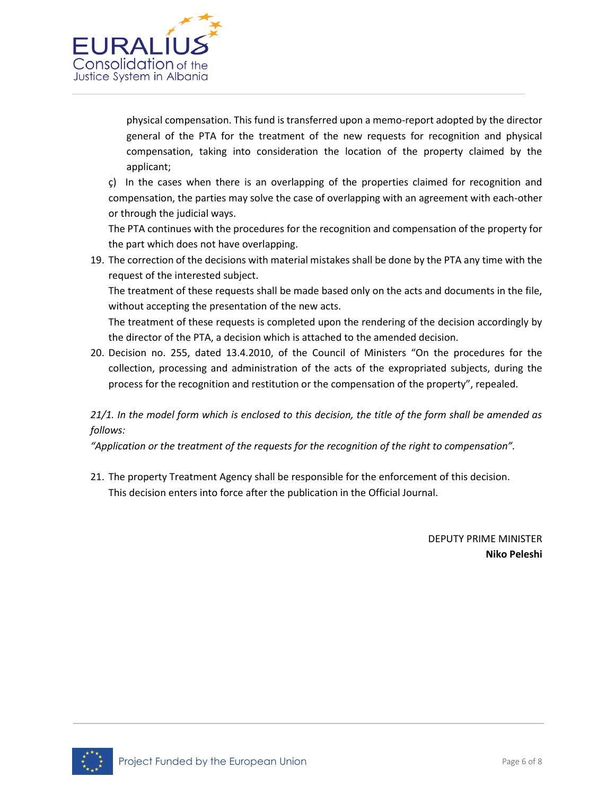

physical compensation. This fund is transferred upon a memo-report adopted by the director general of the PTA for the treatment of the new requests for recognition and physical compensation, taking into consideration the location of the property claimed by the applicant;

ç) In the cases when there is an overlapping of the properties claimed for recognition and compensation, the parties may solve the case of overlapping with an agreement with each-other or through the judicial ways.

The PTA continues with the procedures for the recognition and compensation of the property for the part which does not have overlapping.

19. The correction of the decisions with material mistakes shall be done by the PTA any time with the request of the interested subject.

The treatment of these requests shall be made based only on the acts and documents in the file, without accepting the presentation of the new acts.

The treatment of these requests is completed upon the rendering of the decision accordingly by the director of the PTA, a decision which is attached to the amended decision.

20. Decision no. 255, dated 13.4.2010, of the Council of Ministers "On the procedures for the collection, processing and administration of the acts of the expropriated subjects, during the process for the recognition and restitution or the compensation of the property", repealed.

*21/1. In the model form which is enclosed to this decision, the title of the form shall be amended as follows:* 

*"Application or the treatment of the requests for the recognition of the right to compensation".*

21. The property Treatment Agency shall be responsible for the enforcement of this decision. This decision enters into force after the publication in the Official Journal.

> DEPUTY PRIME MINISTER **Niko Peleshi**

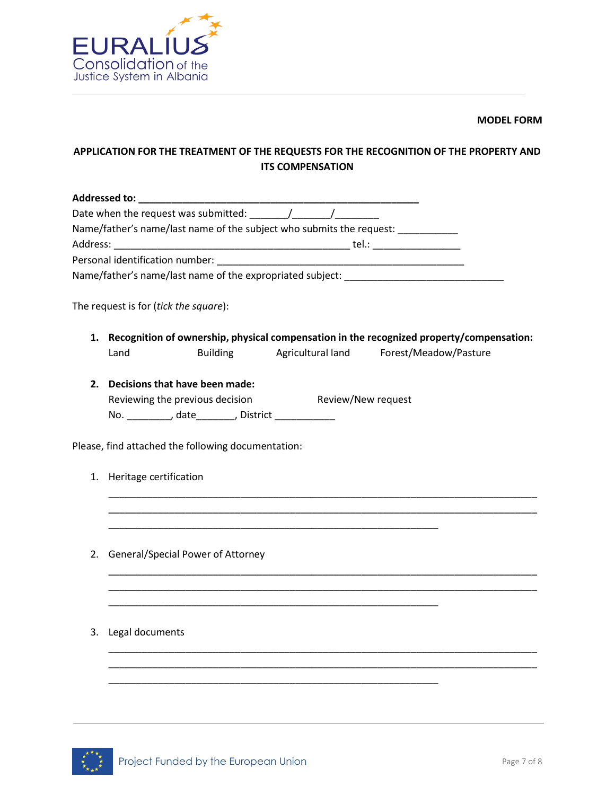

#### **MODEL FORM**

# **APPLICATION FOR THE TREATMENT OF THE REQUESTS FOR THE RECOGNITION OF THE PROPERTY AND ITS COMPENSATION**

| Addressed to: Analysis and the set of the set of the set of the set of the set of the set of the set of the set of the set of the set of the set of the set of the set of the set of the set of the set of the set of the set |                 |                                                                                             |  |  |  |
|-------------------------------------------------------------------------------------------------------------------------------------------------------------------------------------------------------------------------------|-----------------|---------------------------------------------------------------------------------------------|--|--|--|
|                                                                                                                                                                                                                               |                 |                                                                                             |  |  |  |
|                                                                                                                                                                                                                               |                 | Name/father's name/last name of the subject who submits the request: ___________            |  |  |  |
|                                                                                                                                                                                                                               |                 |                                                                                             |  |  |  |
|                                                                                                                                                                                                                               |                 |                                                                                             |  |  |  |
|                                                                                                                                                                                                                               |                 | Name/father's name/last name of the expropriated subject: ______________________            |  |  |  |
|                                                                                                                                                                                                                               |                 |                                                                                             |  |  |  |
| The request is for (tick the square):                                                                                                                                                                                         |                 |                                                                                             |  |  |  |
|                                                                                                                                                                                                                               |                 | 1. Recognition of ownership, physical compensation in the recognized property/compensation: |  |  |  |
| Land                                                                                                                                                                                                                          | <b>Building</b> | Agricultural land Forest/Meadow/Pasture                                                     |  |  |  |
| 2. Decisions that have been made:                                                                                                                                                                                             |                 |                                                                                             |  |  |  |
| Reviewing the previous decision<br>Review/New request                                                                                                                                                                         |                 |                                                                                             |  |  |  |
| No. __________, date________, District _____________                                                                                                                                                                          |                 |                                                                                             |  |  |  |
|                                                                                                                                                                                                                               |                 |                                                                                             |  |  |  |
| Please, find attached the following documentation:                                                                                                                                                                            |                 |                                                                                             |  |  |  |
|                                                                                                                                                                                                                               |                 |                                                                                             |  |  |  |
| 1. Heritage certification                                                                                                                                                                                                     |                 |                                                                                             |  |  |  |
|                                                                                                                                                                                                                               |                 |                                                                                             |  |  |  |
|                                                                                                                                                                                                                               |                 |                                                                                             |  |  |  |
|                                                                                                                                                                                                                               |                 |                                                                                             |  |  |  |
|                                                                                                                                                                                                                               |                 |                                                                                             |  |  |  |
| 2. General/Special Power of Attorney                                                                                                                                                                                          |                 |                                                                                             |  |  |  |
|                                                                                                                                                                                                                               |                 |                                                                                             |  |  |  |
|                                                                                                                                                                                                                               |                 |                                                                                             |  |  |  |
|                                                                                                                                                                                                                               |                 |                                                                                             |  |  |  |
|                                                                                                                                                                                                                               |                 |                                                                                             |  |  |  |
| 3. Legal documents                                                                                                                                                                                                            |                 |                                                                                             |  |  |  |
|                                                                                                                                                                                                                               |                 |                                                                                             |  |  |  |
|                                                                                                                                                                                                                               |                 |                                                                                             |  |  |  |
|                                                                                                                                                                                                                               |                 |                                                                                             |  |  |  |